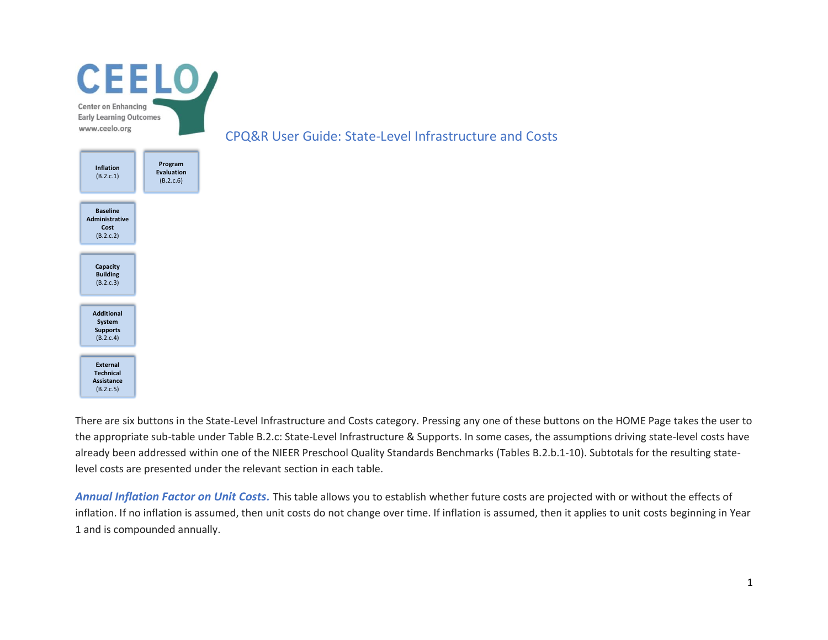

There are six buttons in the State-Level Infrastructure and Costs category. Pressing any one of these buttons on the HOME Page takes the user to the appropriate sub-table under Table B.2.c: State-Level Infrastructure & Supports. In some cases, the assumptions driving state-level costs have already been addressed within one of the NIEER Preschool Quality Standards Benchmarks (Tables B.2.b.1-10). Subtotals for the resulting statelevel costs are presented under the relevant section in each table.

*Annual Inflation Factor on Unit Costs.* This table allows you to establish whether future costs are projected with or without the effects of inflation. If no inflation is assumed, then unit costs do not change over time. If inflation is assumed, then it applies to unit costs beginning in Year 1 and is compounded annually.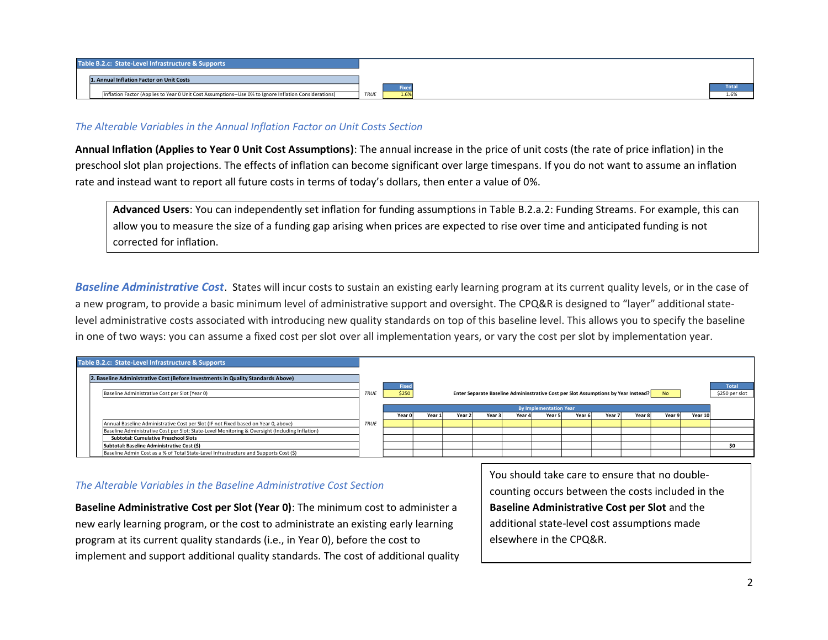

### *The Alterable Variables in the Annual Inflation Factor on Unit Costs Section*

**Annual Inflation (Applies to Year 0 Unit Cost Assumptions)**: The annual increase in the price of unit costs (the rate of price inflation) in the preschool slot plan projections. The effects of inflation can become significant over large timespans. If you do not want to assume an inflation rate and instead want to report all future costs in terms of today's dollars, then enter a value of 0%.

**Advanced Users**: You can independently set inflation for funding assumptions in Table B.2.a.2: Funding Streams. For example, this can allow you to measure the size of a funding gap arising when prices are expected to rise over time and anticipated funding is not corrected for inflation.

*Baseline Administrative Cost*. States will incur costs to sustain an existing early learning program at its current quality levels, or in the case of a new program, to provide a basic minimum level of administrative support and oversight. The CPQ&R is designed to "layer" additional statelevel administrative costs associated with introducing new quality standards on top of this baseline level. This allows you to specify the baseline in one of two ways: you can assume a fixed cost per slot over all implementation years, or vary the cost per slot by implementation year.

| Table B.2.c: State-Level Infrastructure & Supports                                              |             |                               |        |        |        |        |                                                                                    |        |        |        |                |         |                |
|-------------------------------------------------------------------------------------------------|-------------|-------------------------------|--------|--------|--------|--------|------------------------------------------------------------------------------------|--------|--------|--------|----------------|---------|----------------|
| 2. Baseline Administrative Cost (Before Investments in Quality Standards Above)                 |             |                               |        |        |        |        |                                                                                    |        |        |        |                |         |                |
|                                                                                                 |             | Fixed                         |        |        |        |        |                                                                                    |        |        |        |                |         | Total          |
| Baseline Administrative Cost per Slot (Year 0)                                                  | <b>TRUE</b> | \$250                         |        |        |        |        | Enter Separate Baseline Admininstrative Cost per Slot Assumptions by Year Instead? |        |        |        | N <sub>o</sub> |         | \$250 per slot |
|                                                                                                 |             | <b>By Implementation Year</b> |        |        |        |        |                                                                                    |        |        |        |                |         |                |
|                                                                                                 |             | Year 0                        | Year 1 | Year 2 | Year 3 | Year 4 | Year 5                                                                             | Year 6 | Year 7 | Year 8 | Year 9         | Year 10 |                |
| Annual Baseline Administrative Cost per Slot (IF not Fixed based on Year 0, above)              | <b>TRUE</b> |                               |        |        |        |        |                                                                                    |        |        |        |                |         |                |
| Baseline Administrative Cost per Slot: State-Level Monitoring & Oversight (Including Inflation) |             |                               |        |        |        |        |                                                                                    |        |        |        |                |         |                |
| <b>Subtotal: Cumulative Preschool Slots</b>                                                     |             |                               |        |        |        |        |                                                                                    |        |        |        |                |         |                |
| Subtotal: Baseline Administrative Cost (\$)                                                     |             |                               |        |        |        |        |                                                                                    |        |        |        |                |         | \$O            |
| Baseline Admin Cost as a % of Total State-Level Infrastructure and Supports Cost (\$)           |             |                               |        |        |        |        |                                                                                    |        |        |        |                |         |                |

## *The Alterable Variables in the Baseline Administrative Cost Section*

**Baseline Administrative Cost per Slot (Year 0)**: The minimum cost to administer a new early learning program, or the cost to administrate an existing early learning program at its current quality standards (i.e., in Year 0), before the cost to implement and support additional quality standards. The cost of additional quality You should take care to ensure that no doublecounting occurs between the costs included in the **Baseline Administrative Cost per Slot** and the additional state-level cost assumptions made elsewhere in the CPQ&R.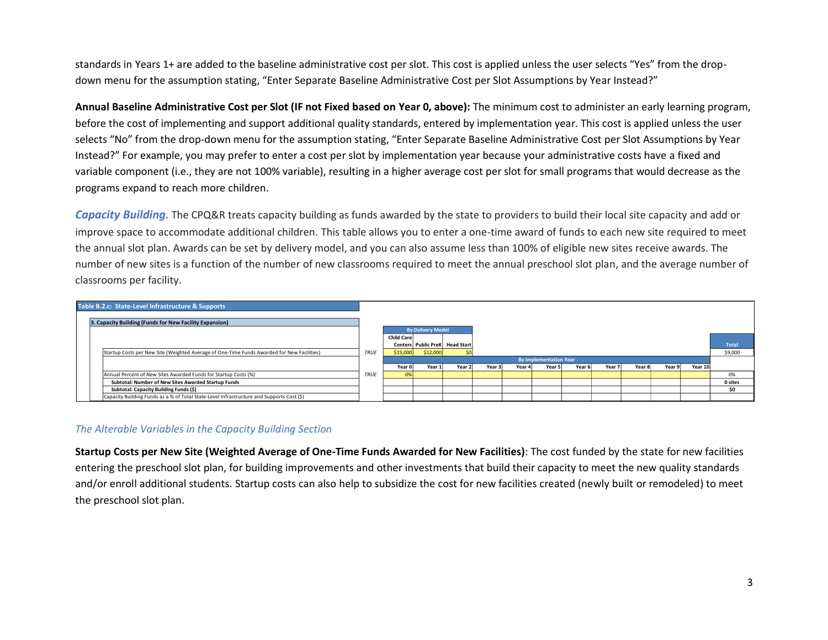standards in Years 1+ are added to the baseline administrative cost per slot. This cost is applied unless the user selects "Yes" from the dropdown menu for the assumption stating, "Enter Separate Baseline Administrative Cost per Slot Assumptions by Year Instead?"

**Annual Baseline Administrative Cost per Slot (IF not Fixed based on Year 0, above):** The minimum cost to administer an early learning program, before the cost of implementing and support additional quality standards, entered by implementation year. This cost is applied unless the user selects "No" from the drop-down menu for the assumption stating, "Enter Separate Baseline Administrative Cost per Slot Assumptions by Year Instead?" For example, you may prefer to enter a cost per slot by implementation year because your administrative costs have a fixed and variable component (i.e., they are not 100% variable), resulting in a higher average cost per slot for small programs that would decrease as the programs expand to reach more children.

*Capacity Building.* The CPQ&R treats capacity building as funds awarded by the state to providers to build their local site capacity and add or improve space to accommodate additional children. This table allows you to enter a one-time award of funds to each new site required to meet the annual slot plan. Awards can be set by delivery model, and you can also assume less than 100% of eligible new sites receive awards. The number of new sites is a function of the number of new classrooms required to meet the annual preschool slot plan, and the average number of classrooms per facility.



# *The Alterable Variables in the Capacity Building Section*

**Startup Costs per New Site (Weighted Average of One-Time Funds Awarded for New Facilities)**: The cost funded by the state for new facilities entering the preschool slot plan, for building improvements and other investments that build their capacity to meet the new quality standards and/or enroll additional students. Startup costs can also help to subsidize the cost for new facilities created (newly built or remodeled) to meet the preschool slot plan.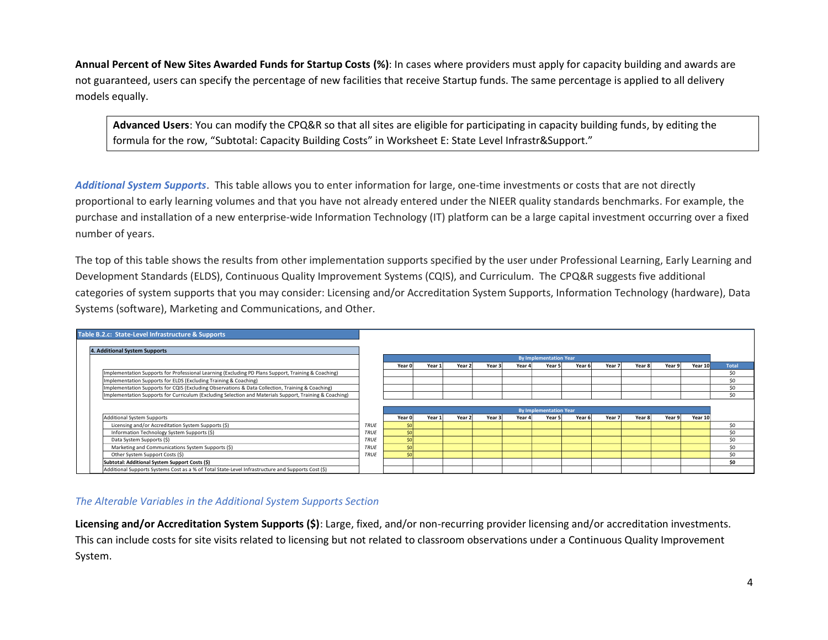**Annual Percent of New Sites Awarded Funds for Startup Costs (%)**: In cases where providers must apply for capacity building and awards are not guaranteed, users can specify the percentage of new facilities that receive Startup funds. The same percentage is applied to all delivery models equally.

**Advanced Users**: You can modify the CPQ&R so that all sites are eligible for participating in capacity building funds, by editing the formula for the row, "Subtotal: Capacity Building Costs" in Worksheet E: State Level Infrastr&Support."

*Additional System Supports*. This table allows you to enter information for large, one-time investments or costs that are not directly proportional to early learning volumes and that you have not already entered under the NIEER quality standards benchmarks. For example, the purchase and installation of a new enterprise-wide Information Technology (IT) platform can be a large capital investment occurring over a fixed number of years.

The top of this table shows the results from other implementation supports specified by the user under Professional Learning, Early Learning and Development Standards (ELDS), Continuous Quality Improvement Systems (CQIS), and Curriculum. The CPQ&R suggests five additional Systems (software), Marketing and Communications, and Other.

| categories of system supports that you may consider: Licensing and/or Accreditation System Supports, Information Technology (hardware), Data |             |        |        |                   |        |        |                               |        |        |        |        |         |              |
|----------------------------------------------------------------------------------------------------------------------------------------------|-------------|--------|--------|-------------------|--------|--------|-------------------------------|--------|--------|--------|--------|---------|--------------|
| Systems (software), Marketing and Communications, and Other.                                                                                 |             |        |        |                   |        |        |                               |        |        |        |        |         |              |
| Table B.2.c: State-Level Infrastructure & Supports                                                                                           |             |        |        |                   |        |        |                               |        |        |        |        |         |              |
| 4. Additional System Supports                                                                                                                |             |        |        |                   |        |        |                               |        |        |        |        |         |              |
|                                                                                                                                              |             |        |        |                   |        |        | <b>By Implementation Year</b> |        |        |        |        |         |              |
|                                                                                                                                              |             | Year 0 | Year 1 | Year 2            | Year 3 | Year 4 | Year 5                        | Year 6 | Year 7 | Year 8 | Year 9 | Year 10 | <b>Total</b> |
| Implementation Supports for Professional Learning (Excluding PD Plans Support, Training & Coaching)                                          |             |        |        |                   |        |        |                               |        |        |        |        |         | \$0          |
| Implementation Supports for ELDS (Excluding Training & Coaching)                                                                             |             |        |        |                   |        |        |                               |        |        |        |        |         | \$0          |
| Implementation Supports for CQIS (Excluding Observations & Data Collection, Training & Coaching)                                             |             |        |        |                   |        |        |                               |        |        |        |        |         | \$0          |
| Implementation Supports for Curriculum (Excluding Selection and Materials Support, Training & Coaching)                                      |             |        |        |                   |        |        |                               |        |        |        |        |         | \$0          |
|                                                                                                                                              |             |        |        |                   |        |        |                               |        |        |        |        |         |              |
|                                                                                                                                              |             |        |        |                   |        |        | <b>By Implementation Year</b> |        |        |        |        |         |              |
| <b>Additional System Supports</b>                                                                                                            |             | Year 0 | Year 1 | Year <sub>2</sub> | Year 3 | Year 4 | Year 5                        | Year 6 | Year 7 | Year 8 | Year 9 | Year 10 |              |
| Licensing and/or Accreditation System Supports (\$)                                                                                          | <b>TRUE</b> |        |        |                   |        |        |                               |        |        |        |        |         | \$0          |
| Information Technology System Supports (\$)                                                                                                  | <b>TRUE</b> |        |        |                   |        |        |                               |        |        |        |        |         | \$0          |
| Data System Supports (\$)                                                                                                                    | TRUE        |        |        |                   |        |        |                               |        |        |        |        |         | \$0          |
| Marketing and Communications System Supports (\$)                                                                                            | TRUE        | \$0    |        |                   |        |        |                               |        |        |        |        |         | SO           |
| Other System Support Costs (\$)                                                                                                              | TRUE        | ŚΩ     |        |                   |        |        |                               |        |        |        |        |         | \$0          |
| Subtotal: Additional System Support Costs (\$)                                                                                               |             |        |        |                   |        |        |                               |        |        |        |        |         | \$0          |
| Additional Supports Systems Cost as a % of Total State-Level Infrastructure and Supports Cost (\$)                                           |             |        |        |                   |        |        |                               |        |        |        |        |         |              |

## *The Alterable Variables in the Additional System Supports Section*

**Licensing and/or Accreditation System Supports (\$)**: Large, fixed, and/or non-recurring provider licensing and/or accreditation investments. This can include costs for site visits related to licensing but not related to classroom observations under a Continuous Quality Improvement System.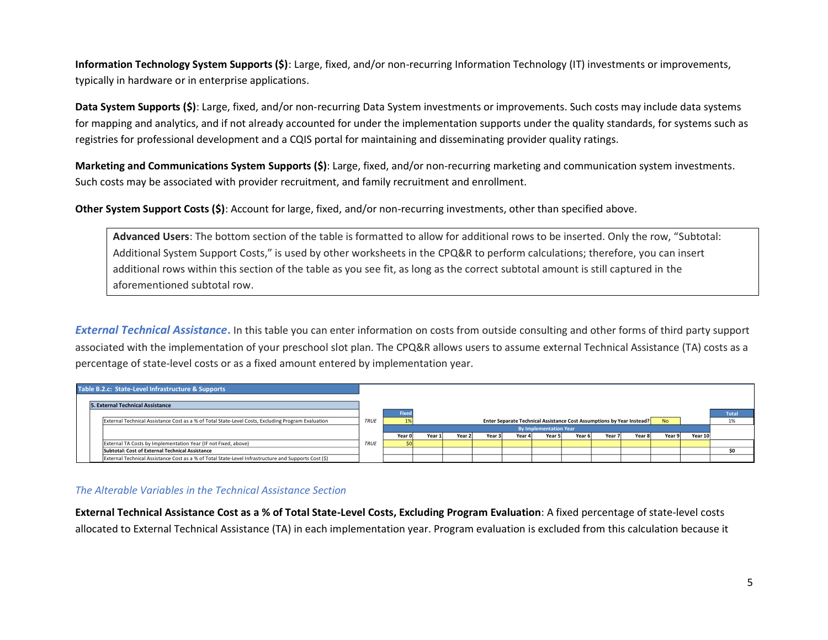**Information Technology System Supports (\$)**: Large, fixed, and/or non-recurring Information Technology (IT) investments or improvements, typically in hardware or in enterprise applications.

**Data System Supports (\$)**: Large, fixed, and/or non-recurring Data System investments or improvements. Such costs may include data systems for mapping and analytics, and if not already accounted for under the implementation supports under the quality standards, for systems such as registries for professional development and a CQIS portal for maintaining and disseminating provider quality ratings.

**Marketing and Communications System Supports (\$)**: Large, fixed, and/or non-recurring marketing and communication system investments. Such costs may be associated with provider recruitment, and family recruitment and enrollment.

**Other System Support Costs (\$)**: Account for large, fixed, and/or non-recurring investments, other than specified above.

**Advanced Users**: The bottom section of the table is formatted to allow for additional rows to be inserted. Only the row, "Subtotal: Additional System Support Costs," is used by other worksheets in the CPQ&R to perform calculations; therefore, you can insert additional rows within this section of the table as you see fit, as long as the correct subtotal amount is still captured in the aforementioned subtotal row.

*External Technical Assistance***.** In this table you can enter information on costs from outside consulting and other forms of third party support associated with the implementation of your preschool slot plan. The CPQ&R allows users to assume external Technical Assistance (TA) costs as a percentage of state-level costs or as a fixed amount entered by implementation year.



## *The Alterable Variables in the Technical Assistance Section*

**External Technical Assistance Cost as a % of Total State-Level Costs, Excluding Program Evaluation**: A fixed percentage of state-level costs allocated to External Technical Assistance (TA) in each implementation year. Program evaluation is excluded from this calculation because it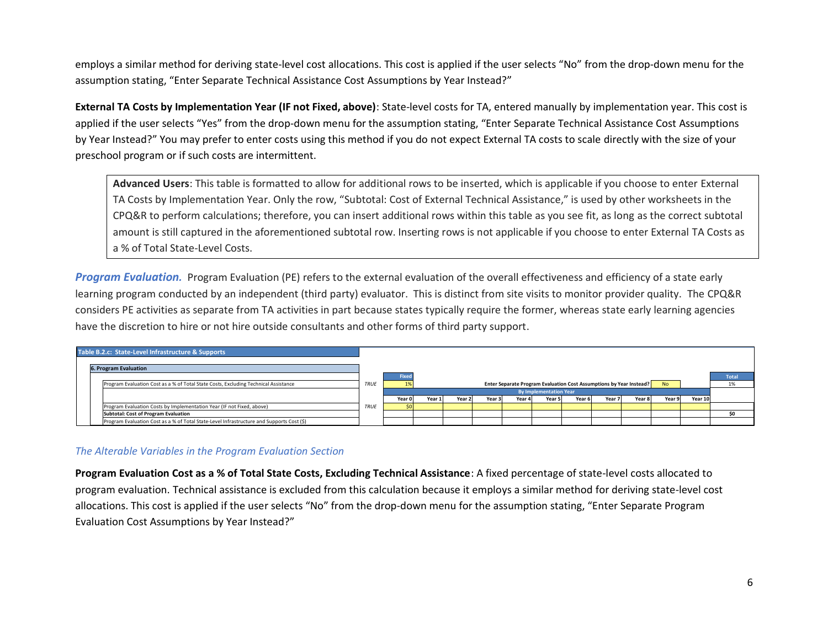employs a similar method for deriving state-level cost allocations. This cost is applied if the user selects "No" from the drop-down menu for the assumption stating, "Enter Separate Technical Assistance Cost Assumptions by Year Instead?"

**External TA Costs by Implementation Year (IF not Fixed, above)**: State-level costs for TA, entered manually by implementation year. This cost is applied if the user selects "Yes" from the drop-down menu for the assumption stating, "Enter Separate Technical Assistance Cost Assumptions by Year Instead?" You may prefer to enter costs using this method if you do not expect External TA costs to scale directly with the size of your preschool program or if such costs are intermittent.

**Advanced Users**: This table is formatted to allow for additional rows to be inserted, which is applicable if you choose to enter External TA Costs by Implementation Year. Only the row, "Subtotal: Cost of External Technical Assistance," is used by other worksheets in the CPQ&R to perform calculations; therefore, you can insert additional rows within this table as you see fit, as long as the correct subtotal amount is still captured in the aforementioned subtotal row. Inserting rows is not applicable if you choose to enter External TA Costs as a % of Total State-Level Costs.

*Program Evaluation.* Program Evaluation (PE) refers to the external evaluation of the overall effectiveness and efficiency of a state early learning program conducted by an independent (third party) evaluator. This is distinct from site visits to monitor provider quality. The CPQ&R considers PE activities as separate from TA activities in part because states typically require the former, whereas state early learning agencies have the discretion to hire or not hire outside consultants and other forms of third party support.

|  | Table B.2.c: State-Level Infrastructure & Supports                                        |                               |        |        |        |        |        |                                                                            |        |           |        |        |         |              |
|--|-------------------------------------------------------------------------------------------|-------------------------------|--------|--------|--------|--------|--------|----------------------------------------------------------------------------|--------|-----------|--------|--------|---------|--------------|
|  | <b>6. Program Evaluation</b>                                                              |                               |        |        |        |        |        |                                                                            |        |           |        |        |         |              |
|  |                                                                                           |                               | Fixed  |        |        |        |        |                                                                            |        |           |        |        |         | <b>Total</b> |
|  | Program Evaluation Cost as a % of Total State Costs, Excluding Technical Assistance       | <b>TRUE</b>                   |        |        |        |        |        | <b>Enter Separate Program Evaluation Cost Assumptions by Year Instead?</b> |        | <b>No</b> |        | 1%     |         |              |
|  |                                                                                           | <b>By Implementation Year</b> |        |        |        |        |        |                                                                            |        |           |        |        |         |              |
|  |                                                                                           |                               | Year O | Year 1 | Year 2 | Year 3 | Year 4 | Year 5                                                                     | Year 6 | Year 7    | Year 8 | Year 9 | Year 10 |              |
|  | Program Evaluation Costs by Implementation Year (IF not Fixed, above)                     | TRUE                          |        |        |        |        |        |                                                                            |        |           |        |        |         |              |
|  | <b>Subtotal: Cost of Program Evaluation</b>                                               |                               |        |        |        |        |        |                                                                            |        |           |        |        |         |              |
|  | Program Evaluation Cost as a % of Total State-Level Infrastructure and Supports Cost (\$) |                               |        |        |        |        |        |                                                                            |        |           |        |        |         |              |

# *The Alterable Variables in the Program Evaluation Section*

**Program Evaluation Cost as a % of Total State Costs, Excluding Technical Assistance**: A fixed percentage of state-level costs allocated to program evaluation. Technical assistance is excluded from this calculation because it employs a similar method for deriving state-level cost allocations. This cost is applied if the user selects "No" from the drop-down menu for the assumption stating, "Enter Separate Program Evaluation Cost Assumptions by Year Instead?"